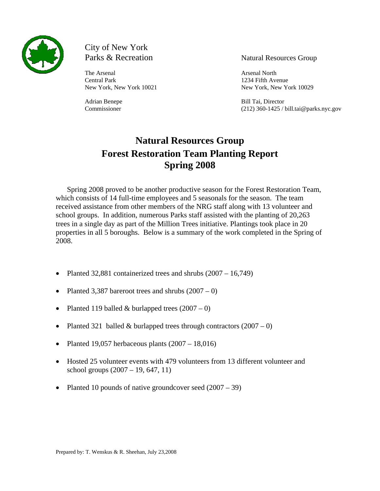

# City of New York

The Arsenal Arsenal Arsenal Arsenal North Central Park 1234 Fifth Avenue

### Parks & Recreation Natural Resources Group

New York, New York 10021 New York. New York 10029

Adrian Benepe Bill Tai, Director Commissioner (212) 360-1425 / bill.tai@parks.nyc.gov

# **Natural Resources Group Forest Restoration Team Planting Report Spring 2008**

Spring 2008 proved to be another productive season for the Forest Restoration Team, which consists of 14 full-time employees and 5 seasonals for the season. The team received assistance from other members of the NRG staff along with 13 volunteer and school groups. In addition, numerous Parks staff assisted with the planting of 20,263 trees in a single day as part of the Million Trees initiative. Plantings took place in 20 properties in all 5 boroughs. Below is a summary of the work completed in the Spring of 2008.

- Planted 32,881 containerized trees and shrubs  $(2007 16,749)$
- Planted 3,387 bareroot trees and shrubs  $(2007 0)$
- Planted 119 balled & burlapped trees  $(2007 0)$
- Planted 321 balled & burlapped trees through contractors  $(2007 0)$
- Planted 19,057 herbaceous plants  $(2007 18,016)$
- Hosted 25 volunteer events with 479 volunteers from 13 different volunteer and school groups (2007 – 19, 647, 11)
- Planted 10 pounds of native groundcover seed  $(2007 39)$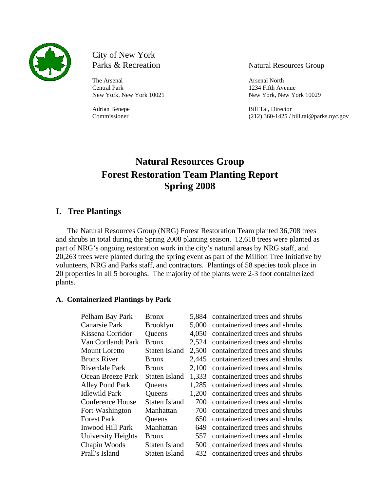

City of New York Parks & Recreation Natural Resources Group

The Arsenal Arsenal Arsenal Arsenal North Central Park 1234 Fifth Avenue

New York, New York 10021 New York, New York 10029

Adrian Benepe Bill Tai, Director Commissioner (212) 360-1425 / bill.tai@parks.nyc.gov

# **Natural Resources Group Forest Restoration Team Planting Report Spring 2008**

### **I. Tree Plantings**

The Natural Resources Group (NRG) Forest Restoration Team planted 36,708 trees and shrubs in total during the Spring 2008 planting season. 12,618 trees were planted as part of NRG's ongoing restoration work in the city's natural areas by NRG staff, and 20,263 trees were planted during the spring event as part of the Million Tree Initiative by volunteers, NRG and Parks staff, and contractors. Plantings of 58 species took place in 20 properties in all 5 boroughs. The majority of the plants were 2-3 foot containerized plants.

#### **A. Containerized Plantings by Park**

| Pelham Bay Park         | <b>Bronx</b>         | 5,884 | containerized trees and shrubs |
|-------------------------|----------------------|-------|--------------------------------|
| <b>Canarsie Park</b>    | <b>Brooklyn</b>      | 5.000 | containerized trees and shrubs |
| Kissena Corridor        | Queens               | 4,050 | containerized trees and shrubs |
| Van Cortlandt Park      | <b>Bronx</b>         | 2,524 | containerized trees and shrubs |
| <b>Mount Loretto</b>    | <b>Staten Island</b> | 2,500 | containerized trees and shrubs |
| <b>Bronx River</b>      | <b>Bronx</b>         | 2,445 | containerized trees and shrubs |
| Riverdale Park          | <b>Bronx</b>         | 2,100 | containerized trees and shrubs |
| Ocean Breeze Park       | <b>Staten Island</b> | 1,333 | containerized trees and shrubs |
| <b>Alley Pond Park</b>  | Queens               | 1,285 | containerized trees and shrubs |
| <b>Idlewild Park</b>    | <b>Queens</b>        | 1,200 | containerized trees and shrubs |
| <b>Conference House</b> | <b>Staten Island</b> | 700   | containerized trees and shrubs |
| Fort Washington         | Manhattan            | 700   | containerized trees and shrubs |
| <b>Forest Park</b>      | Queens               | 650   | containerized trees and shrubs |
| <b>Inwood Hill Park</b> | Manhattan            | 649   | containerized trees and shrubs |
| University Heights      | <b>Bronx</b>         | 557   | containerized trees and shrubs |
| Chapin Woods            | Staten Island        | 500   | containerized trees and shrubs |
| Prall's Island          | <b>Staten Island</b> | 432   | containerized trees and shrubs |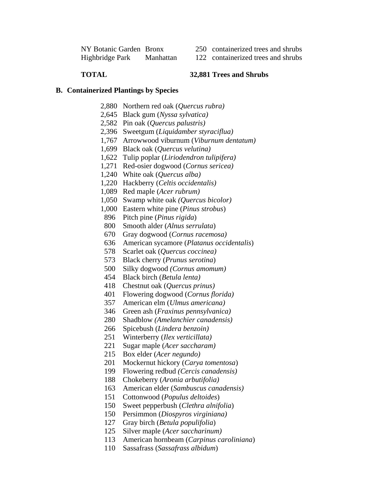| NY Botanic Garden Bronx |           |
|-------------------------|-----------|
| Highbridge Park         | Manhattan |

- 250 containerized trees and shrubs
- 122 containerized trees and shrubs

### **TOTAL 32,881 Trees and Shrubs**

#### **B. Containerized Plantings by Species**

- 2,880 Northern red oak (*Quercus rubra)*
- 2,645 Black gum (*Nyssa sylvatica)*
- 2,582 Pin oak (*Quercus palustris)*
- 2,396 Sweetgum (*Liquidamber styraciflua)*
- 1,767 Arrowwood viburnum (*Viburnum dentatum)*
- 1,699 Black oak (*Quercus velutina)*
- 1,622 Tulip poplar (*Liriodendron tulipifera)*
- 1,271 Red-osier dogwood (*Cornus sericea)*
- 1,240 White oak (*Quercus alba)*
- 1,220 Hackberry (*Celtis occidentalis)*
- 1,089 Red maple (*Acer rubrum)*
- 1,050 Swamp white oak *(Quercus bicolor)*
- 1,000 Eastern white pine (*Pinus strobus*)
- 896 Pitch pine (*Pinus rigida*)
- 800 Smooth alder (*Alnus serrulata*)
- 670 Gray dogwood (*Cornus racemosa)*
- 636 American sycamore (*Platanus occidentalis*)
- 578 Scarlet oak (*Quercus coccinea)*
- 573 Black cherry (*Prunus serotina*)
- 500 Silky dogwood *(Cornus amomum)*
- 454 Black birch (*Betula lenta)*
- 418 Chestnut oak (*Quercus prinus)*
- 401 Flowering dogwood (*Cornus florida)*
- 357 American elm (*Ulmus americana)*
- 346 Green ash (*Fraxinus pennsylvanica)*
- 280 Shadblow *(Amelanchier canadensis)*
- 266 Spicebush (*Lindera benzoin)*
- 251 Winterberry (*Ilex verticillata)*
- 221 Sugar maple (*Acer saccharam)*
- 215 Box elder (*Acer negundo)*
- 201 Mockernut hickory (*Carya tomentosa*)
- 199 Flowering redbud *(Cercis canadensis)*
- 188 Chokeberry (*Aronia arbutifolia)*
- 163 American elder (*Sambuscus canadensis)*
- 151 Cottonwood (*Populus deltoides*)
- 150 Sweet pepperbush (*Clethra alnifolia*)
- 150 Persimmon (*Diospyros virginiana)*
- 127 Gray birch (*Betula populifolia*)
- 125 Silver maple (*Acer saccharinum)*
- 113 American hornbeam (*Carpinus caroliniana*)
- 110 Sassafrass (*Sassafrass albidum*)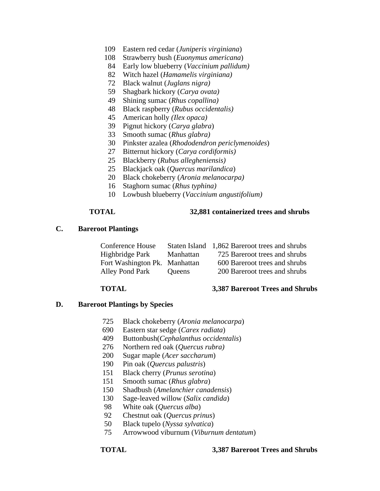- 109 Eastern red cedar (*Juniperis virginiana*)
- 108 Strawberry bush (*Euonymus americana*)
- 84 Early low blueberry (*Vaccinium pallidum)*
- 82 Witch hazel (*Hamamelis virginiana)*
- 72 Black walnut (*Juglans nigra)*
- 59 Shagbark hickory (*Carya ovata)*
- 49 Shining sumac (*Rhus copallina)*
- 48 Black raspberry (*Rubus occidentalis)*
- 45 American holly *(Ilex opaca)*
- 39 Pignut hickory (*Carya glabra*)
- 33 Smooth sumac (*Rhus glabra)*
- 30 Pinkster azalea (*Rhododendron periclymenoides*)
- 27 Bitternut hickory (*Carya cordiformis)*
- 25 Blackberry (*Rubus allegheniensis)*
- 25 Blackjack oak (*Quercus marilandica*)
- 20 Black chokeberry (*Aronia melanocarpa)*
- 16 Staghorn sumac (*Rhus typhina)*
- 10 Lowbush blueberry (*Vaccinium angustifolium)*

#### **TOTAL 32,881 containerized trees and shrubs**

#### **C. Bareroot Plantings**

| Conference House              |               | Staten Island 1,862 Bareroot trees and shrubs |
|-------------------------------|---------------|-----------------------------------------------|
| Highbridge Park               | Manhattan     | 725 Bareroot trees and shrubs                 |
| Fort Washington Pk. Manhattan |               | 600 Bareroot trees and shrubs                 |
| Alley Pond Park               | <b>Oueens</b> | 200 Bareroot trees and shrubs                 |

#### **TOTAL 3,387 Bareroot Trees and Shrubs**

#### **D. Bareroot Plantings by Species**

- 725 Black chokeberry (*Aronia melanocarpa*)
- 690 Eastern star sedge (*Carex radiata*)
- 409 Buttonbush(*Cephalanthus occidentalis*)
- 276 Northern red oak (*Quercus rubra)*
- 200 Sugar maple (*Acer saccharum*)
- 190 Pin oak (*Quercus palustris*)
- 151 Black cherry (*Prunus serotina*)
- 151 Smooth sumac (*Rhus glabra*)
- 150 Shadbush (*Amelanchier canadensis*)
- 130 Sage-leaved willow (*Salix candida*)
- 98 White oak (*Quercus alba*)
- 92 Chestnut oak (*Quercus prinus*)
- 50 Black tupelo (*Nyssa sylvatica*)
- 75 Arrowwood viburnum (*Viburnum dentatum*)

#### **TOTAL 3,387 Bareroot Trees and Shrubs**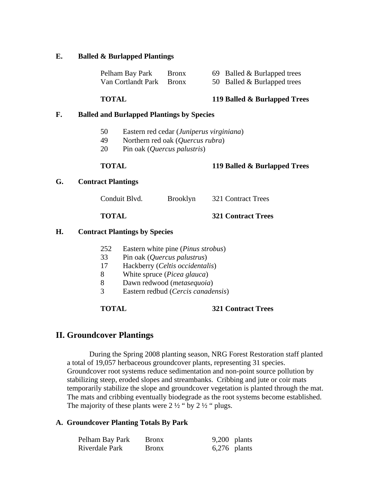#### **E. Balled & Burlapped Plantings**

| Pelham Bay Park          | <b>Bronx</b> | 69 Balled & Burlapped trees |
|--------------------------|--------------|-----------------------------|
| Van Cortlandt Park Bronx |              | 50 Balled & Burlapped trees |

#### **TOTAL 119 Balled & Burlapped Trees**

## **F. Balled and Burlapped Plantings by Species**

- 50 Eastern red cedar (*Juniperus virginiana*)
- 49 Northern red oak (*Quercus rubra*)
- 20 Pin oak (*Quercus palustris*)

#### **TOTAL 119 Balled & Burlapped Trees**

#### **G. Contract Plantings**

| Conduit Blvd. | <b>Brooklyn</b> | 321 Contract Trees |
|---------------|-----------------|--------------------|
|               |                 |                    |

# **TOTAL 321 Contract Trees**

#### **H. Contract Plantings by Species**

| 252 |  | Eastern white pine ( <i>Pinus strobus</i> ) |
|-----|--|---------------------------------------------|
|-----|--|---------------------------------------------|

- 33 Pin oak (*Quercus palustrus*)
- 17 Hackberry (*Celtis occidentalis*)
- 8 White spruce (*Picea glauca*)
- 8 Dawn redwood (*metasequoia*)
- 3 Eastern redbud (*Cercis canadensis*)

**TOTAL 321 Contract Trees** 

### **II. Groundcover Plantings**

During the Spring 2008 planting season, NRG Forest Restoration staff planted a total of 19,057 herbaceous groundcover plants, representing 31 species. Groundcover root systems reduce sedimentation and non-point source pollution by stabilizing steep, eroded slopes and streambanks. Cribbing and jute or coir mats temporarily stabilize the slope and groundcover vegetation is planted through the mat. The mats and cribbing eventually biodegrade as the root systems become established. The majority of these plants were  $2\frac{1}{2}$  " by  $2\frac{1}{2}$ " plugs.

#### **A. Groundcover Planting Totals By Park**

| Pelham Bay Park | <b>Bronx</b> | $9,200$ plants |  |
|-----------------|--------------|----------------|--|
| Riverdale Park  | <b>Bronx</b> | $6,276$ plants |  |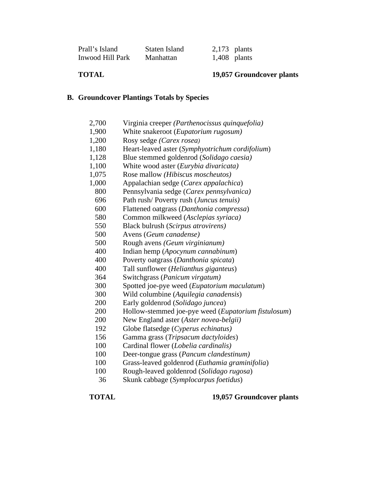| Prall's Island   | Staten Island | $2,173$ plants |                |
|------------------|---------------|----------------|----------------|
| Inwood Hill Park | Manhattan     |                | $1,408$ plants |

### **TOTAL 19,057 Groundcover plants**

### **B. Groundcover Plantings Totals by Species**

| 2,700      | Virginia creeper (Parthenocissus quinquefolia)                                          |
|------------|-----------------------------------------------------------------------------------------|
| 1,900      | White snakeroot (Eupatorium rugosum)                                                    |
| 1,200      | Rosy sedge (Carex rosea)                                                                |
| 1,180      | Heart-leaved aster (Symphyotrichum cordifolium)                                         |
| 1,128      | Blue stemmed goldenrod (Solidago caesia)                                                |
| 1,100      | White wood aster (Eurybia divaricata)                                                   |
| 1,075      | Rose mallow (Hibiscus moscheutos)                                                       |
| 1,000      | Appalachian sedge (Carex appalachica)                                                   |
| 800        | Pennsylvania sedge (Carex pennsylvanica)                                                |
| 696        | Path rush/Poverty rush (Juncus tenuis)                                                  |
| 600        | Flattened oatgrass (Danthonia compressa)                                                |
| 580        | Common milkweed (Asclepias syriaca)                                                     |
| 550        | Black bulrush (Scirpus atrovirens)                                                      |
| 500        | Avens (Geum canadense)                                                                  |
| 500        | Rough avens (Geum virginianum)                                                          |
| 400        | Indian hemp (Apocynum cannabinum)                                                       |
| 400        | Poverty oatgrass (Danthonia spicata)                                                    |
| 400        | Tall sunflower (Helianthus giganteus)                                                   |
| 364        | Switchgrass (Panicum virgatum)                                                          |
| 300        | Spotted joe-pye weed (Eupatorium maculatum)                                             |
| 300        | Wild columbine (Aquilegia canadensis)                                                   |
| 200        | Early goldenrod (Solidago juncea)                                                       |
| 200        | Hollow-stemmed joe-pye weed (Eupatorium fistulosum)                                     |
| 200        | New England aster (Aster novea-belgii)                                                  |
| 192        | Globe flatsedge (Cyperus echinatus)                                                     |
| 156        | Gamma grass (Tripsacum dactyloides)                                                     |
| 100        | Cardinal flower (Lobelia cardinalis)                                                    |
| 100        | Deer-tongue grass (Pancum clandestinum)                                                 |
| 1 $\Omega$ | $C_{meas}$ leaved as decreed $(\Gamma_{rel}, \ldots, \Gamma_{eq}, \ldots, \Gamma_{eq})$ |

- 100 Grass-leaved goldenrod (*Euthamia graminifolia*)
- 100 Rough-leaved goldenrod (*Solidago rugosa*)
- 36 Skunk cabbage (*Symplocarpus foetidus*)

**TOTAL 19,057 Groundcover plants**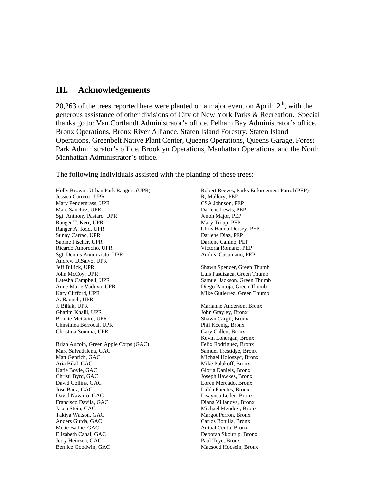### **III. Acknowledgements**

20,263 of the trees reported here were planted on a major event on April  $12<sup>th</sup>$ , with the generous assistance of other divisions of City of New York Parks & Recreation. Special thanks go to: Van Cortlandt Administrator's office, Pelham Bay Administrator's office, Bronx Operations, Bronx River Alliance, Staten Island Forestry, Staten Island Operations, Greenbelt Native Plant Center, Queens Operations, Queens Garage, Forest Park Administrator's office, Brooklyn Operations, Manhattan Operations, and the North Manhattan Administrator's office.

The following individuals assisted with the planting of these trees:

Holly Brown , Urban Park Rangers (UPR) Jessica Carrero , UPR Mary Pendergrass, UPR Marc Sanchez, UPR Sgt. Anthony Pastaro, UPR Ranger T. Kerr, UPR Ranger A. Reid, UPR Sunny Carrao, UPR Sabine Fischer, UPR Ricardo Amorocho, UPR Sgt. Dennis Annunziato, UPR Andrew DiSalvo, UPR Jeff Billick, UPR John McCoy, UPR Latesha Campbell, UPR Anne-Marie Vaduva, UPR Katy Clifford, UPR A. Raunch, UPR J. Billak, UPR Gharim Khalil, UPR Bonnie McGuire, UPR Chirstinea Berrocal, UPR Christina Somma, UPR Brian Aucoin, Green Apple Corps (GAC) Marc Salvadalena, GAC Matt Genrich, GAC Aria Bilal, GAC Katie Boyle, GAC Christi Byrd, GAC David Collins, GAC Jose Baez, GAC David Navarro, GAC Francisco Davila, GAC Jason Stein, GAC Takiya Watson, GAC Anders Gurda, GAC Mette Badhe, GAC Elizabeth Canal, GAC Jerry Heinzen, GAC Bernice Goodwin, GAC

Robert Reeves, Parks Enforcement Patrol (PEP) R, Mallory, PEP CSA Johnson, PEP Darlene Lewis, PEP Jenon Major, PEP Mary Troup, PEP Chris Hanna-Dorsey, PEP Darlene Diaz, PEP Darlene Canino, PEP Victoria Romano, PEP Andrea Cusumano, PEP Shawn Spencer, Green Thumb Luis Pasuizaca, Green Thumb Samuel Jackson, Green Thumb Diego Pantoja, Green Thumb Mike Gutierrez, Green Thumb Marianne Anderson, Bronx John Grayley, Bronx Shawn Cargil, Bronx Phil Koenig, Bronx Gary Cullen, Bronx Kevin Lonergan, Bronx Felix Rodriguez, Bronx Samuel Trestidge, Bronx Michael Holoszyc, Bronx Mike Polakoff, Bronx Gloria Daniels, Bronx Joseph Hawkes, Bronx Loren Mercado, Bronx Lidda Fuentes, Bronx Lisaynea Ledee, Bronx Diana Villanova, Bronx Michael Mendez , Bronx Margot Perron, Bronx Carlos Bonilla, Bronx Anibal Cerda, Bronx Deborah Skourup, Bronx Paul Teye, Bronx Macsood Hoosein, Bronx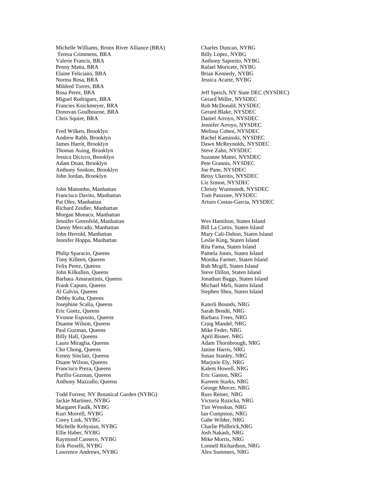Michelle Williams, Bronx River Alliance (BRA) Teresa Crimmens, BRA Valerie Francis, BRA Penny Matta, BRA Elaine Feliciano, BRA Norma Rosa, BRA Mildred Torres, BRA Rosa Perez, BRA Miguel Rodriguez, BRA Francies Knickmeyer, BRA Donovan Goulbourne, BRA Chris Squire, BRA

Fred Wilken, Brooklyn Andrew Rabb, Brooklyn James Harrit, Brooklyn Thomas Auing, Brooklyn Jessica Dicicco, Brooklyn Adam Doan, Brooklyn Anthony Sookoo, Brooklyn John Jordan, Brooklyn

John Matombo, Manhattan Francisco Davito, Manhattan Pat Oles, Manhattan Richard Zeidler, Manhattan Morgan Monaco, Manhattan Jennifer Greenfeld, Manhattan Danny Mercado, Manhattan John Herrold, Manhattan Jennifer Hoppa, Manhattan

Philip Sparacio, Queens Tony Killeen, Queens Felix Perez, Queens John Kilkullen, Queens Barbara Amarantinis, Queens Frank Caputo, Queens Al Galvin, Queens Debby Kuha, Queens Josephine Scalia, Queens Eric Goetz, Queens Yvonne Esposito, Queens Duanne Wilson, Queens Paul Guzman, Queens Billy Hall, Queens Laura Miraglia, Queens Cho Chong, Queens Kenny Sinclair, Queens Duane Wilson, Queens Francisco Preza, Queens Purifio Guzman, Queens Anthony Mazzallo, Queens

Todd Forrest, NY Botanical Garden (NYBG) Jackie Martinez, NYBG Margaret Faulk, NYBG Kurt Morrell, NYBG Corey Link, NYBG Michelle Kehyaian, NYBG Ellie Haber, NYBG Raymond Canseco, NYBG Erik Pioselli, NYBG Lawrence Andrews, NYBG

Charles Duncan, NYBG Billy Lopez, NYBG Anthony Saporito, NYBG Rafael Moricete, NYBG Brian Kennedy, NYBG Jessica Acarte, NYBG

Jeff Speich, NY State DEC (NYSDEC) Gerard Miller, NYSDEC Rob McDonald, NYSDEC Gerard Blake, NYSDEC Daniel Arroyo, NYSDEC Jennifer Arroyo, NYSDEC Melissa Cohen, NYSDEC Rachel Kaminski, NYSDEC Dawn McReynolds, NYSDEC Steve Zahn, NYSDEC Suzanne Mattei, NYSDEC Pete Grannis, NYSDEC Joe Pane, NYSDEC Betsy Ukeritis, NYSDEC Liz Simon, NYSDEC Christy Wurmstedt, NYSDEC Tom Panzone, NYSDEC Arturo Costas-Garcia, NYSDEC

Wes Hamilton, Staten Island Bill La Curtis, Staten Island Mary Cali-Dalton, Staten Island Leslie King, Staten Island Rita Fama, Staten Island Pamela Jones, Staten Island Monika Farmer, Staten Island Rob Mcgill, Staten Island Steve Dillon, Staten Island Jonathan Baggs, Staten Island Michael Meli, Staten Island Stephen Shea, Staten Island

Katerli Bounds, NRG Sarah Bendit, NRG Barbara Trees, NRG Craig Mandel, NRG Mike Feder, NRG April Bisner, NRG Adam Thornbrough, NRG Janine Harris, NRG Susan Stanley, NRG Marjorie Ely, NRG Kalem Howell, NRG Eric Gaston, NRG Kareem Starks, NRG George Mercer, NRG Russ Reiner, NRG Victoria Ruzicka, NRG Tim Wenskus, NRG Ian Cumpston, NRG Gabe Wilder, NRG Charlie Philbrick,NRG Josh Nakash, NRG Mike Morris, NRG Lonnell Richardson, NRG Alex Summers, NRG